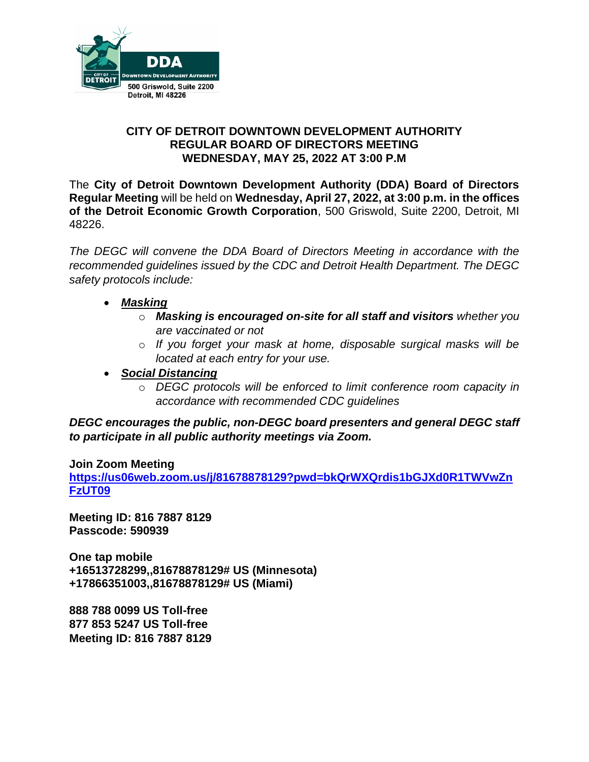

#### **CITY OF DETROIT DOWNTOWN DEVELOPMENT AUTHORITY REGULAR BOARD OF DIRECTORS MEETING WEDNESDAY, MAY 25, 2022 AT 3:00 P.M**

The **City of Detroit Downtown Development Authority (DDA) Board of Directors Regular Meeting** will be held on **Wednesday, April 27, 2022, at 3:00 p.m. in the offices of the Detroit Economic Growth Corporation**, 500 Griswold, Suite 2200, Detroit, MI 48226.

*The DEGC will convene the DDA Board of Directors Meeting in accordance with the recommended guidelines issued by the CDC and Detroit Health Department. The DEGC safety protocols include:*

- *Masking*
	- o *Masking is encouraged on-site for all staff and visitors whether you are vaccinated or not*
	- o *If you forget your mask at home, disposable surgical masks will be located at each entry for your use.*
- *Social Distancing* 
	- o *DEGC protocols will be enforced to limit conference room capacity in accordance with recommended CDC guidelines*

*DEGC encourages the public, non-DEGC board presenters and general DEGC staff to participate in all public authority meetings via Zoom.* 

**Join Zoom Meeting** 

**[https://us06web.zoom.us/j/81678878129?pwd=bkQrWXQrdis1bGJXd0R1TWVwZn](https://us06web.zoom.us/j/81678878129?pwd=bkQrWXQrdis1bGJXd0R1TWVwZnFzUT09) [FzUT09](https://us06web.zoom.us/j/81678878129?pwd=bkQrWXQrdis1bGJXd0R1TWVwZnFzUT09)**

**Meeting ID: 816 7887 8129 Passcode: 590939** 

**One tap mobile +16513728299,,81678878129# US (Minnesota) +17866351003,,81678878129# US (Miami)** 

**888 788 0099 US Toll-free 877 853 5247 US Toll-free Meeting ID: 816 7887 8129**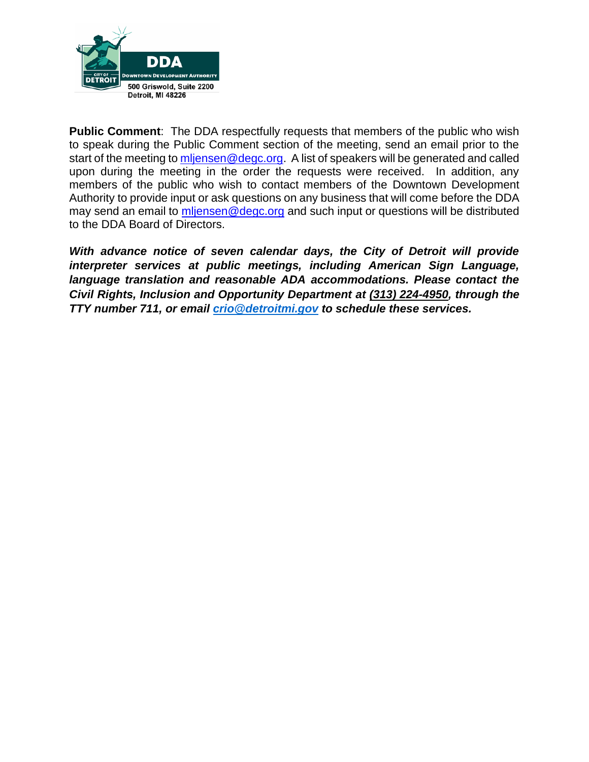

**Public Comment**: The DDA respectfully requests that members of the public who wish to speak during the Public Comment section of the meeting, send an email prior to the start of the meeting to [mljensen@degc.org.](mailto:mljensen@degc.org) A list of speakers will be generated and called upon during the meeting in the order the requests were received. In addition, any members of the public who wish to contact members of the Downtown Development Authority to provide input or ask questions on any business that will come before the DDA may send an email to [mljensen@degc.org](mailto:mljensen@degc.org) and such input or questions will be distributed to the DDA Board of Directors.

*With advance notice of seven calendar days, the City of Detroit will provide interpreter services at public meetings, including American Sign Language, language translation and reasonable ADA accommodations. Please contact the Civil Rights, Inclusion and Opportunity Department at (313) 224-4950, through the TTY number 711, or email [crio@detroitmi.gov](mailto:crio@detroitmi.gov) to schedule these services.*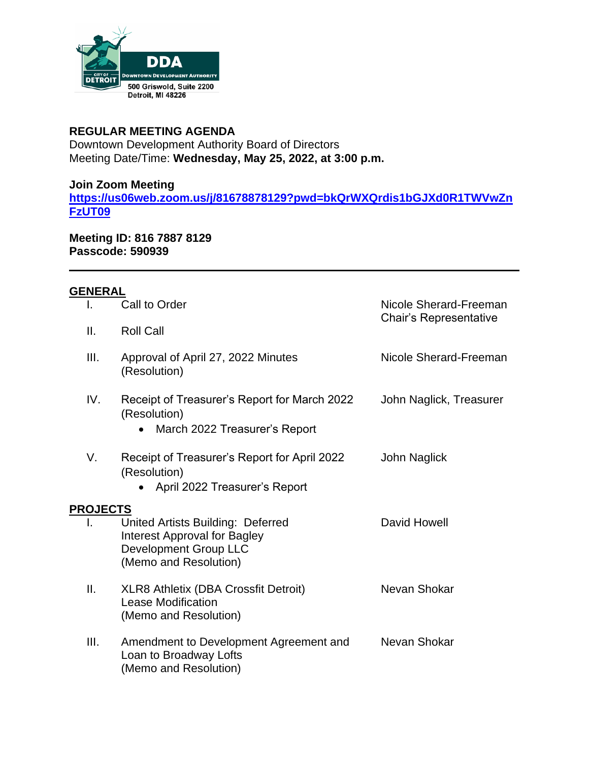

### **REGULAR MEETING AGENDA**

Downtown Development Authority Board of Directors Meeting Date/Time: **Wednesday, May 25, 2022, at 3:00 p.m.**

## **Join Zoom Meeting**

**[https://us06web.zoom.us/j/81678878129?pwd=bkQrWXQrdis1bGJXd0R1TWVwZn](https://us06web.zoom.us/j/81678878129?pwd=bkQrWXQrdis1bGJXd0R1TWVwZnFzUT09) [FzUT09](https://us06web.zoom.us/j/81678878129?pwd=bkQrWXQrdis1bGJXd0R1TWVwZnFzUT09)**

**Meeting ID: 816 7887 8129 Passcode: 590939** 

# **GENERAL**

| I.              | Call to Order                                                                                                              | Nicole Sherard-Freeman<br>Chair's Representative |
|-----------------|----------------------------------------------------------------------------------------------------------------------------|--------------------------------------------------|
| ΙΙ.             | <b>Roll Call</b>                                                                                                           |                                                  |
| III.            | Approval of April 27, 2022 Minutes<br>(Resolution)                                                                         | Nicole Sherard-Freeman                           |
| IV.             | Receipt of Treasurer's Report for March 2022<br>(Resolution)<br>March 2022 Treasurer's Report<br>$\bullet$                 | John Naglick, Treasurer                          |
| V.              | Receipt of Treasurer's Report for April 2022<br>(Resolution)<br>April 2022 Treasurer's Report                              | John Naglick                                     |
| <b>PROJECTS</b> |                                                                                                                            |                                                  |
| I.              | United Artists Building: Deferred<br><b>Interest Approval for Bagley</b><br>Development Group LLC<br>(Memo and Resolution) | David Howell                                     |
| Ш.              | <b>XLR8 Athletix (DBA Crossfit Detroit)</b><br><b>Lease Modification</b><br>(Memo and Resolution)                          | Nevan Shokar                                     |
| III.            | Amendment to Development Agreement and<br>Loan to Broadway Lofts<br>(Memo and Resolution)                                  | Nevan Shokar                                     |